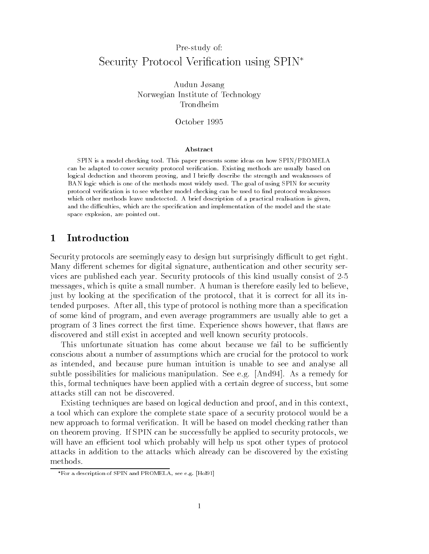# Pre-study of: Security Protocol Verification using SPIN<sup>\*</sup>

Audun Jøsang Norwegian Institute of Technology Trondheim

### Abstract

SPIN is a model checking tool. This paper presents some ideas on how SPIN/PROMELA can be adapted to cover security protocol verification. Existing methods are usually based on logical deduction and theorem proving, and I briefly describe the strength and weaknesses of BAN logic which is one of the methods most widely used. The goal of using SPIN for security protocol verification is to see whether model checking can be used to find protocol weaknesses which other methods leave undetected. A brief description of a practical realisation is given, and the difficulties, which are the specification and implementation of the model and the state space explosion, are pointed out.

#### 1Introduction

Security protocols are seemingly easy to design but surprisingly difficult to get right. Many different schemes for digital signature, authentication and other security services are published each year. Security protocols of this kind usually consist of 2-5 messages, which is quite a small number. A human is therefore easily led to believe, just by looking at the specification of the protocol, that it is correct for all its intended purposes. After all, this type of protocol is nothing more than a specication of some kind of program, and even average programmers are usually able to get a program of 3 lines correct the first time. Experience shows however, that flaws are discovered and still exist in accepted and well known security protocols.

This unfortunate situation has come about because we fail to be sufficiently conscious about a number of assumptions which are crucial for the protocol to work as intended, and because pure human intuition is unable to see and analyse all subtle possibilities for malicious manipulation. See e.g. [And94]. As a remedy for this, formal techniques have been applied with a certain degree of success, but some attacks still can not be discovered.

Existing techniques are based on logical deduction and proof, and in this context, a tool which can explore the complete state space of a security protocol would be a new approach to formal verification. It will be based on model checking rather than on theorem proving. If SPIN can be successfully be applied to security protocols, we will have an efficient tool which probably will help us spot other types of protocol attacks in addition to the attacks which already can be discovered by the existing

For a description of SPIN and PROMELA, see e.g. [Hol91]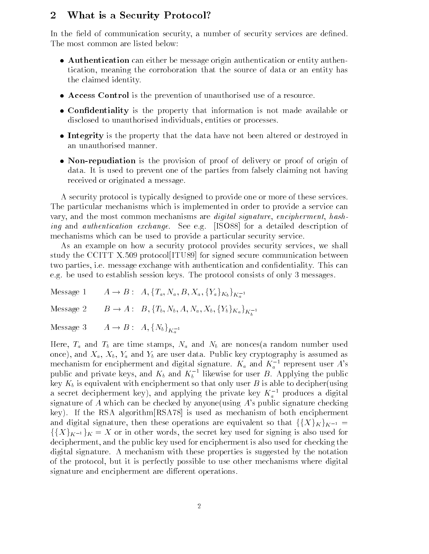#### 2What is a Security Protocol?

In the field of communication security, a number of security services are defined. The most common are listed below:

- $\bullet$  -Authentication can either be message origin authentication or entity authentication, meaning the corroboration that the source of data or an entity has the claimed identity.
- $\bullet$  Access Control is the prevention of unauthorised use of a resource.
- $\bullet$  Confidentiality is the property that information is not made available or disclosed to unauthorised individuals, entities or processes.
- Integrity is the property that the data have not been altered or destroyed in an unauthorised manner.
- $\bullet$  Non-repudiation is the provision of proof of delivery or proof of origin of  $\bullet$ data. It is used to prevent one of the parties from falsely claiming not having received or originated a message.

A security protocol is typically designed to provide one or more of these services. The particular mechanisms which is implemented in order to provide a service can vary, and the most common mechanisms are digital signature, encipherment, hashing and authentication exchange. See e.g. [ISO88] for a detailed description of mechanisms which can be used to provide a particular security service.

As an example on how a security protocol provides security services, we shall study the CCITT X.509 protocol[ITU89] for signed secure communication between two parties, i.e. message exchange with authentication and condentiality. This can e.g. be used to establish session keys. The protocol consists of only 3 messages.

 $\sim$ 

Message 1  $A \to B: A, \{T_a, N_a, B, X_a, \{Y_a\}_{K_b}\}_{K^{-1}}$ 

Message 2  $B \to A : B$ , {T<sub>b</sub>, N<sub>b</sub>, A, N<sub>a</sub>, X<sub>b</sub>, {Y<sub>b</sub>}<sub>K<sub>a</sub></sub>}<sub>K<sub>h</sub><sup>1</sup></sub>

Message 3  $A \to B : A, \{N_b\}_{K^{-1}}$ <u>and the second second second second</u>

Here,  $T_a$  and  $T_b$  are time stamps,  $N_a$  and  $N_b$  are nonces(a random number used once), and  $X_a$ ,  $X_b$ ,  $Y_a$  and  $Y_b$  are user data. Public key cryptography is assumed as mechanism for encipherment and digital signature.  $K_a$  and  $K_a^{-1}$  represent user  $A$ 's public and private keys, and  $K_b$  and  $K_b$  ' likewise for user  $B$ . Applying the public key  $K_b$  is equivalent with encipherment so that only user B is able to decipher(using a secret decipherment key), and applying the private key  $K_a$  - produces a digital signature of A which can be checked by anyone(using A's public signature checking key). If the RSA algorithm[RSA78] is used as mechanism of both encipherment and digital signature, then these operations are equivalent so that  $\{\{X\}_K\}_{K^{-1}} =$  $\{\{X\}_{K^{-1}}\}_{K} = X$  or in other words, the secret key used for signing is also used for decipherment, and the public key used for encipherment is also used for checking the digital signature. A mechanism with these properties is suggested by the notation of the protocol, but it is perfectly possible to use other mechanisms where digital signature and encipherment are different operations.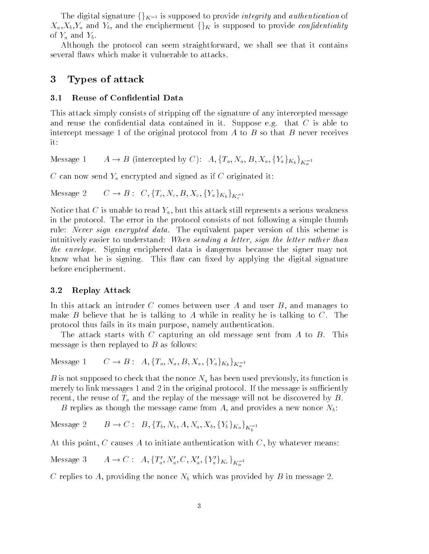The digital signature  $\{\}_{K^{-1}}$  is supposed to provide *integrity* and *authentication* of  $X_a, X_b, Y_a$  and  $Y_b$ , and the encipherment  $\{\}_K$  is supposed to provide *confidentiality* of  $Y_a$  and  $Y_b$ .

Although the protocol can seem straightforward, we shall see that it contains several flaws which make it vulnerable to attacks.

#### 3Types of attack

### 3.1 Reuse of Condential Data

This attack simply consists of stripping off the signature of any intercepted message and reuse the confidential data contained in it. Suppose e.g. that  $C$  is able to intercept message 1 of the original protocol from  $A$  to  $B$  so that  $B$  never receives it:

Message 1  $A \rightarrow B$  (intercepted by C):  $A, \{T_a, N_a, B, X_a, \{Y_a\}_{K_b}\}_{K^{-1}}$ 

 $C$  can now send  $Y_a$  encrypted and signed as if  $C$  originated it:

Message 2  $C \to B: C, \{T_c, N_c, B, X_c, \{Y_a\}_{K_b}\}_{K_c^{-1}}$ 

Notice that C is unable to read  $Y_a$ , but this attack still represents a serious weakness in the protocol. The error in the protocol consists of not following a simple thumb rule: *Never sign encrypted data*. The equivalent paper version of this scheme is intuitively easier to understand: When sending a letter, sign the letter rather than the envelope. Signing enciphered data is dangerous because the signer may not know what he is signing. This flaw can fixed by applying the digital signature before encipherment.

### 3.2 Replay Attack

In this attack an intruder  $C$  comes between user  $A$  and user  $B$ , and manages to make  $B$  believe that he is talking to  $A$  while in reality he is talking to  $C$ . The protocol thus fails in its main purpose, namely authentication.

The attack starts with C capturing an old message sent from A to B. This message is then replayed to  $B$  as follows:

Message 1  $C \to B: A, \{T_a, N_a, B, X_a, \{Y_a\}_{K_b}\}_{K^{-1}}$ 

B is not supposed to check that the nonce  $N_a$  has been used previously, its function is merely to link messages 1 and 2 in the original protocol. If the message is sufficiently recent, the reuse of  $T_a$  and the replay of the message will not be discovered by B.

B replies as though the message came from A, and provides a new nonce  $N_b$ :

 $\sim$ 

 $\sim$ 

Message 2  $B \to C: B, \{T_b, N_b, A, N_a, X_b, \{Y_b\}_{K_a}\}_{K_b^{-1}}$ 

At this point, C causes A to initiate authentication with  $C$ , by whatever means:

Message 3  $A \to C: A, \{T'_a, N'_a, C, X'_a, \{Y'_a\}_{K_c}\}_{K^{-1}}$ 

C replies to A, providing the nonce  $N_b$  which was provided by B in message 2.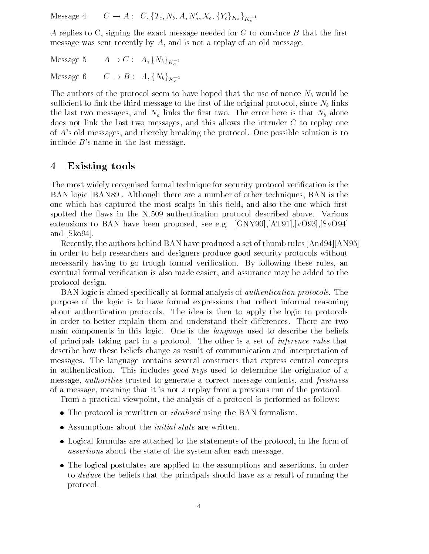Message 4  $C \to A: C, \{T_c, N_b, A, N_a', X_c, \{Y_c\}_{K_a}\}_{K^{-1}}$ 

A replies to C, signing the exact message needed for C to convince  $B$  that the first message was sent recently by A, and is not a replay of an old message.

 $\sim$ 

Message 5  $A \to C : A, \{N_b\}_{K^{-1}}$ 

Message 6  $C \to B : A, \{N_b\}_{K^{-1}}$ 

The authors of the protocol seem to have hoped that the use of nonce  $N_b$  would be sufficient to link the third message to the first of the original protocol, since  $N_b$  links the last two messages, and  $N_a$  links the first two. The error here is that  $N_b$  alone does not link the last two messages, and this allows the intruder  $C$  to replay one of A's old messages, and thereby breaking the protocol. One possible solution is to include  $B$ 's name in the last message.

#### 4Existing tools

The most widely recognised formal technique for security protocol verication is the BAN logic [BAN89]. Although there are a number of other techniques, BAN is the one which has captured the most scalps in this field, and also the one which first spotted the flaws in the X.509 authentication protocol described above. Various extensions to BAN have been proposed, see e.g. [GNY90],[AT91],[vO93],[SvO94] and [Sko94].

Recently, the authors behind BAN have produced a set of thumb rules [And94][AN95] in order to help researchers and designers produce good security protocols without necessarily having to go trough formal verification. By following these rules, an eventual formal verification is also made easier, and assurance may be added to the protocol design.

BAN logic is aimed specifically at formal analysis of *authentication protocols*. The purpose of the logic is to have formal expressions that reflect informal reasoning about authentication protocols. The idea is then to apply the logic to protocols in order to better explain them and understand their differences. There are two main components in this logic. One is the *language* used to describe the beliefs of principals taking part in a protocol. The other is a set of inference rules that describe how these beliefs change as result of communication and interpretation of messages. The language contains several constructs that express central concepts in authentication. This includes good keys used to determine the originator of a message, *authorities* trusted to generate a correct message contents, and *freshness* of a message, meaning that it is not a replay from a previous run of the protocol.

From a practical viewpoint, the analysis of a protocol is performed as follows:

- $\bullet$  The protocol is rewritten or *idealised* using the BAN formalism.
- $\bullet$  Assumptions about the *initial state* are written.
- $\bullet$  Logical formulas are attached to the statements of the protocol, in the form of  $\bullet$ assertions about the state of the system after each message.
- $\bullet$  The logical postulates are applied to the assumptions and assertions, in order to deduce the beliefs that the principals should have as a result of running the protocol.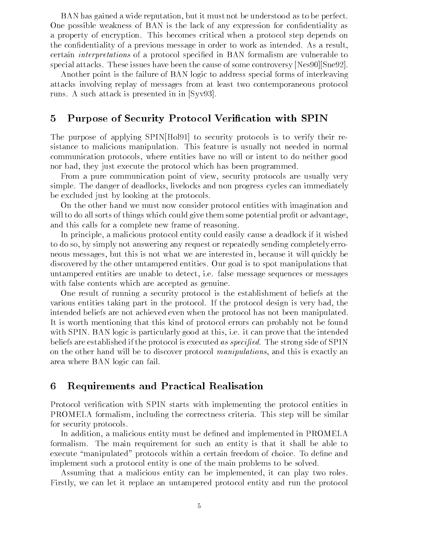BAN has gained a wide reputation, but it must not be understood as to be perfect. One possible weakness of BAN is the lack of any expression for condentiality as a property of encryption. This becomes critical when a protocol step depends on the condentiality of a previous message in order to work as intended. As a result, certain *interpretations* of a protocol specified in BAN formalism are vulnerable to special attacks. These issues have been the cause of some controversy [Nes90][Sne92].

Another point is the failure of BAN logic to address special forms of interleaving attacks involving replay of messages from at least two contemporaneous protocol runs. A such attack is presented in in [Syv93].

#### 5Purpose of Security Protocol Verification with SPIN

The purpose of applying SPIN[Hol91] to security protocols is to verify their resistance to malicious manipulation. This feature is usually not needed in normal communication protocols, where entities have no will or intent to do neither good nor bad, they just execute the protocol which has been programmed.

From a pure communication point of view, security protocols are usually very simple. The danger of deadlocks, livelocks and non progress cycles can immediately be excluded just by looking at the protocols.

On the other hand we must now consider protocol entities with imagination and will to do all sorts of things which could give them some potential profit or advantage. and this calls for a complete new frame of reasoning.

In principle, a malicious protocol entity could easily cause a deadlock if it wished to do so, by simply not answering any request or repeatedly sending completely erroneous messages, but this is not what we are interested in, because it will quickly be discovered by the other untampered entities. Our goal is to spot manipulations that untampered entities are unable to detect, i.e. false message sequences or messages with false contents which are accepted as genuine.

One result of running a security protocol is the establishment of beliefs at the various entities taking part in the protocol. If the protocol design is very bad, the intended beliefs are not achieved even when the protocol has not been manipulated. It is worth mentioning that this kind of protocol errors can probably not be found with SPIN. BAN logic is particularly good at this, i.e. it can prove that the intended beliefs are established if the protocol is executed as specified. The strong side of SPIN on the other hand will be to discover protocol manipulations, and this is exactly an area where BAN logic can fail.

#### 6Requirements and Practical Realisation

Protocol verification with SPIN starts with implementing the protocol entities in PROMELA formalism, including the correctness criteria. This step will be similar for security protocols.

In addition, a malicious entity must be defined and implemented in PROMELA formalism. The main requirement for such an entity is that it shall be able to execute "manipulated" protocols within a certain freedom of choice. To define and implement such a protocol entity is one of the main problems to be solved.

Assuming that a malicious entity can be implemented, it can play two roles. Firstly, we can let it replace an untampered protocol entity and run the protocol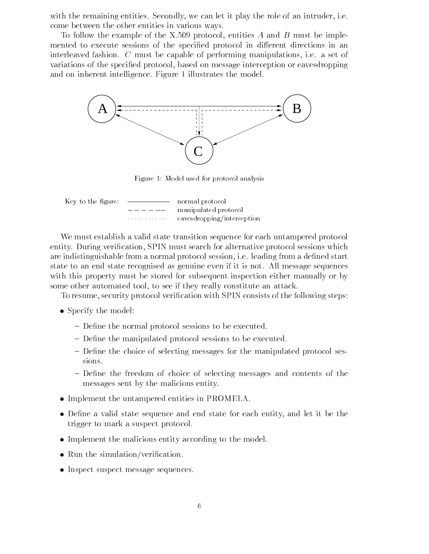with the remaining entities. Secondly, we can let it play the role of an intruder, i.e. come between the other entities in various ways.

To follow the example of the X.509 protocol, entities A and B must be implemented to execute sessions of the specified protocol in different directions in an interleaved fashion. C must be capable of performing manipulations, i.e. a set of variations of the specified protocol, based on message interception or eavesdropping and on inherent intelligence. Figure 1 illustrates the model.



Figure 1: Model used for protocol analysis

| Key to the figure: |   | normal protocol            |
|--------------------|---|----------------------------|
|                    |   | manipulated protocol       |
|                    | . | eavesdropping/interception |

We must establish a valid state transition sequence for each untampered protocol entity. During verification, SPIN must search for alternative protocol sessions which are indistinguishable from a normal protocol session, i.e. leading from a defined start state to an end state recognised as genuine even if it is not. All message sequences with this property must be stored for subsequent inspection either manually or by some other automated tool, to see if they really constitute an attack.

To resume, security protocol verication with SPIN consists of the following steps:

- $\bullet$  Specify the model:
	- Define the normal protocol sessions to be executed.
	- ${\rm -}$  Define the manipulated protocol sessions to be executed.
	- Define the choice of selecting messages for the manipulated protocol sessions.
	- $\overline{\phantom{a}}$  Define the freedom of choice of selecting messages and contents of the messages sent by the malicious entity.
- Implement the untampered entities in PROMELA.
- $\bullet$  Define a valid state sequence and end state for each entity, and let it be the trigger to mark a suspect protocol.
- $\bullet$  Implement the malicious entity according to the model.
- $\bullet\,$  Kun the simulation/verification.  $\,$
- Inspect suspect message sequences.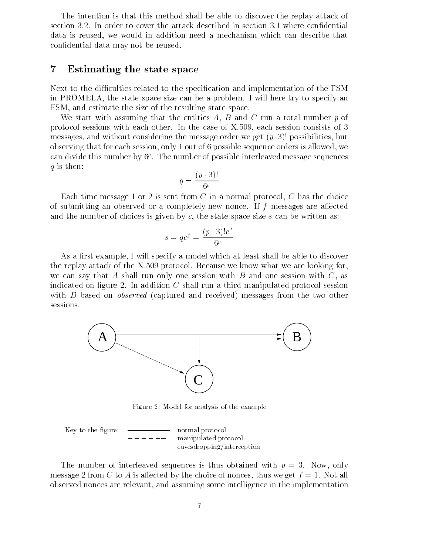The intention is that this method shall be able to discover the replay attack of section 3.2. In order to cover the attack described in section 3.1 where condential data is reused, we would in addition need a mechanism which can describe that condential data may not be reused.

#### 7Estimating the state space

Next to the difficulties related to the specification and implementation of the FSM in PROMELA, the state space size can be a problem. I will here try to specify an FSM, and estimate the size of the resulting state space.

We start with assuming that the entities A, B and C run a total number p of protocol sessions with each other. In the case of X.509, each session consists of 3 messages, and without considering the message order we get  $(p \cdot 3)!$  possibilities, but observing that for each session, only 1 out of 6 possible sequence orders is allowed, we can divide this number by  $6^p$  . The number of possible interleaved message sequences  $\blacksquare$  $q$  is then:

$$
q = \frac{(p \cdot 3)!}{6^p}
$$

Each time message 1 or 2 is sent from  $C$  in a normal protocol,  $C$  has the choice of submitting an observed or a completely new nonce. If  $f$  messages are affected and the number of choices is given by  $c$ , the state space size  $s$  can be written as:

$$
s = qc^f = \frac{(p \cdot 3)!c^f}{6^p}
$$

As a first example, I will specify a model which at least shall be able to discover the replay attack of the X.509 protocol. Because we know what we are looking for, we can say that A shall run only one session with B and one session with  $C$ , as indicated on figure 2. In addition  $C$  shall run a third manipulated protocol session with B based on *observed* (captured and received) messages from the two other sessions.



Figure 2: Model for analysis of the example

Key to the figure:   
 
$$
---
$$
   
 
$$
---
$$
   
 
$$
1
$$
   
 
$$
1
$$
   
 
$$
1
$$
   
 
$$
1
$$
   
 
$$
1
$$
   
 
$$
1
$$
   
 
$$
1
$$
   
 
$$
1
$$
   
 
$$
1
$$
   
 
$$
1
$$
   
 
$$
1
$$
   
 
$$
1
$$
   
 
$$
1
$$
   
 
$$
1
$$
   
 
$$
1
$$
   
 
$$
1
$$
   
 
$$
1
$$
   
 
$$
1
$$
   
 
$$
1
$$
   
 
$$
1
$$
   
 
$$
1
$$
   
 
$$
1
$$
   
 
$$
1
$$
   
 
$$
1
$$
   
 
$$
1
$$
   
 
$$
1
$$
   
 
$$
1
$$
   
 
$$
1
$$
   
 
$$
1
$$
   
 
$$
1
$$
   
 
$$
1
$$
   
 
$$
1
$$
   
 
$$
1
$$
   
 
$$
1
$$
   
 
$$
1
$$
   
 
$$
1
$$
   
 
$$
1
$$
   
 
$$
1
$$
   
 
$$
1
$$
   
 
$$
1
$$
   
 
$$
1
$$
   
 
$$
1
$$
   
 
$$
1
$$
   
 
$$
1
$$
   
 
$$
1
$$
   
 
$$
1
$$
   
 
$$
1
$$
   
 
$$
1
$$
   
 
$$
1
$$
   
 
$$
1
$$
   
 
$$
1
$$
   
 
$$
1
$$
   
 
$$
1
$$
   
 
$$
1
$$
   
 
$$
1
$$
   
 
$$
1
$$
   
  $$ 

The number of interleaved sequences is thus obtained with  $p = 3$ . Now, only message 2 from C to A is affected by the choice of nonces, thus we get  $f = 1$ . Not all observed nonces are relevant, and assuming some intelligence in the implementation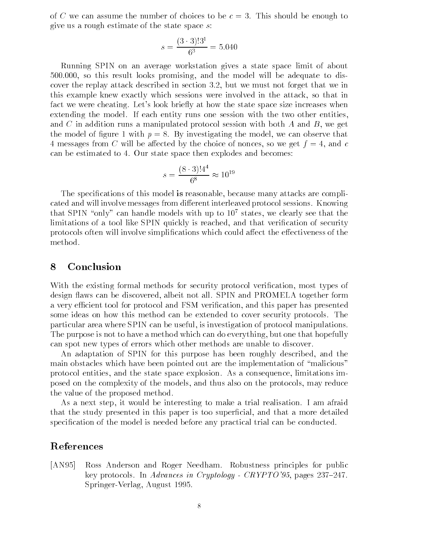of C we can assume the number of choices to be  $c = 3$ . This should be enough to give us a rough estimate of the state space s:

$$
s = \frac{(3 \cdot 3)!3^1}{6^3} = 5.040
$$

Running SPIN on an average workstation gives a state space limit of about 500.000, so this result looks promising, and the model will be adequate to discover the replay attack described in section 3.2, but we must not forget that we in this example knew exactly which sessions were involved in the attack, so that in fact we were cheating. Let's look briefly at how the state space size increases when extending the model. If each entity runs one session with the two other entities, and C in addition runs a manipulated protocol session with both A and B, we get the model of figure 1 with  $p = 8$ . By investigating the model, we can observe that 4 messages from C will be affected by the choice of nonces, so we get  $f = 4$ , and c can be estimated to 4. Our state space then explodes and becomes:

$$
s = \frac{(8 \cdot 3)! 4^4}{6^8} \approx 10^{19}
$$

The specifications of this model is reasonable, because many attacks are complicated and will involve messages from different interleaved protocol sessions. Knowing that SPIN "only" can handle models with up to  $10^7$  states, we clearly see that the limitations of a tool like SPIN quickly is reached, and that verification of security protocols often will involve simplifications which could affect the effectiveness of the method.

#### 8Conclusion

With the existing formal methods for security protocol verification, most types of design flaws can be discovered, albeit not all. SPIN and PROMELA together form a very efficient tool for protocol and FSM verification, and this paper has presented some ideas on how this method can be extended to cover security protocols. The particular area where SPIN can be useful, is investigation of protocol manipulations. The purpose is not to have a method which can do everything, but one that hopefully can spot new types of errors which other methods are unable to discover.

An adaptation of SPIN for this purpose has been roughly described, and the main obstacles which have been pointed out are the implementation of "malicious" protocol entities, and the state space explosion. As a consequence, limitations imposed on the complexity of the models, and thus also on the protocols, may reduce the value of the proposed method.

As a next step, it would be interesting to make a trial realisation. I am afraid that the study presented in this paper is too superficial, and that a more detailed specification of the model is needed before any practical trial can be conducted.

## References

[AN95] Ross Anderson and Roger Needham. Robustness principles for public key protocols. In Advances in Cryptology - CRYPTO'95, pages  $237=247$ . Springer-Verlag, August 1995.